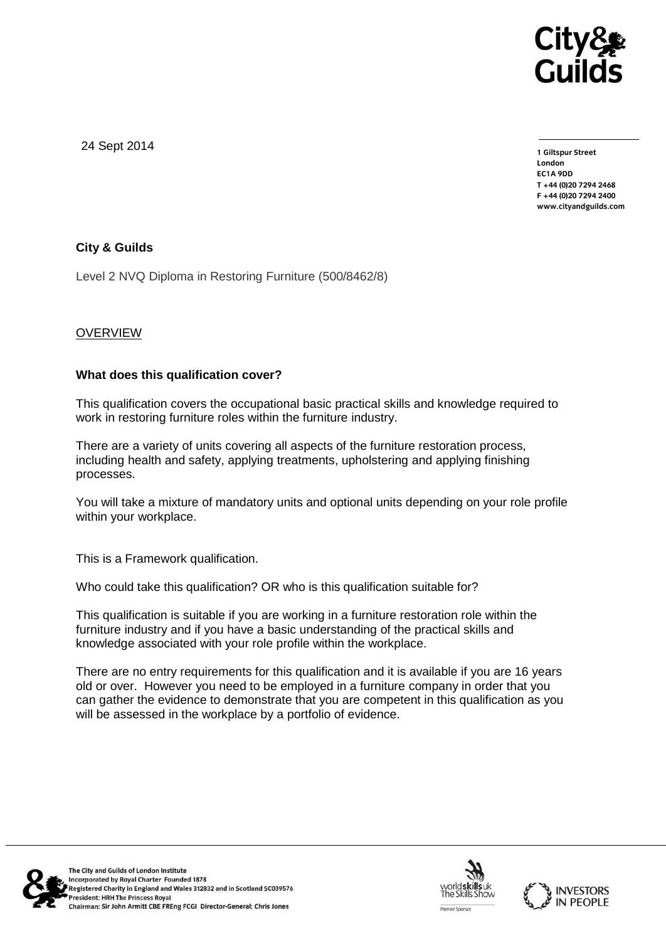

24 Sept 2014

**1 Giltspur Street EC1A 9DD** T +44 (0) 20 7 294 2468 **T +44 (0)20 7294 246[8](http://www.cityandguilds.com/) F +44 (0)20 7294 2400 [www.cityandguilds.com](http://www.cityandguilds.com/)**

# **City & Guilds**

Level 2 NVQ Diploma in Restoring Furniture (500/8462/8)

# **OVERVIEW**

## **What does this qualification cover?**

This qualification covers the occupational basic practical skills and knowledge required to work in restoring furniture roles within the furniture industry.

There are a variety of units covering all aspects of the furniture restoration process, including health and safety, applying treatments, upholstering and applying finishing processes.

You will take a mixture of mandatory units and optional units depending on your role profile within your workplace.

This is a Framework qualification.

Who could take this qualification? OR who is this qualification suitable for?

This qualification is suitable if you are working in a furniture restoration role within the furniture industry and if you have a basic understanding of the practical skills and knowledge associated with your role profile within the workplace.

There are no entry requirements for this qualification and it is available if you are 16 years old or over. However you need to be employed in a furniture company in order that you can gather the evidence to demonstrate that you are competent in this qualification as you will be assessed in the workplace by a portfolio of evidence.